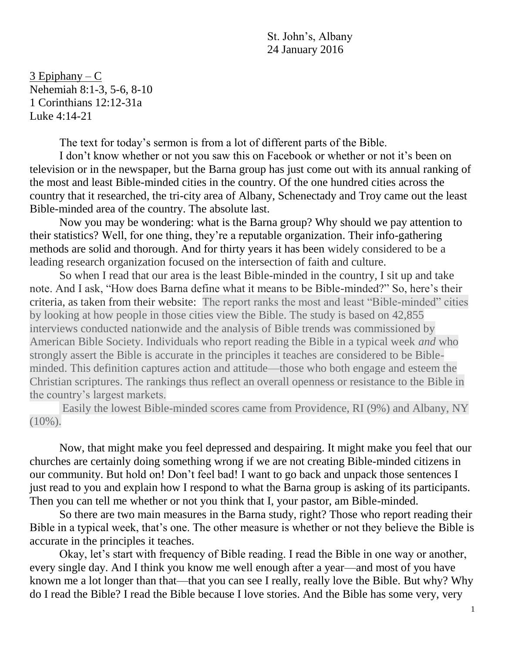St. John's, Albany 24 January 2016

 $3$  Epiphany – C Nehemiah 8:1-3, 5-6, 8-10 1 Corinthians 12:12-31a Luke 4:14-21

The text for today's sermon is from a lot of different parts of the Bible.

I don't know whether or not you saw this on Facebook or whether or not it's been on television or in the newspaper, but the Barna group has just come out with its annual ranking of the most and least Bible-minded cities in the country. Of the one hundred cities across the country that it researched, the tri-city area of Albany, Schenectady and Troy came out the least Bible-minded area of the country. The absolute last.

Now you may be wondering: what is the Barna group? Why should we pay attention to their statistics? Well, for one thing, they're a reputable organization. Their info-gathering methods are solid and thorough. And for thirty years it has been widely considered to be a leading research organization focused on the intersection of faith and culture.

So when I read that our area is the least Bible-minded in the country, I sit up and take note. And I ask, "How does Barna define what it means to be Bible-minded?" So, here's their criteria, as taken from their website: The report ranks the most and least "Bible-minded" cities by looking at how people in those cities view the Bible. The study is based on 42,855 interviews conducted nationwide and the analysis of Bible trends was commissioned by American Bible Society. Individuals who report reading the Bible in a typical week *and* who strongly assert the Bible is accurate in the principles it teaches are considered to be Bibleminded. This definition captures action and attitude—those who both engage and esteem the Christian scriptures. The rankings thus reflect an overall openness or resistance to the Bible in the country's largest markets.

Easily the lowest Bible-minded scores came from Providence, RI (9%) and Albany, NY  $(10\%)$ .

Now, that might make you feel depressed and despairing. It might make you feel that our churches are certainly doing something wrong if we are not creating Bible-minded citizens in our community. But hold on! Don't feel bad! I want to go back and unpack those sentences I just read to you and explain how I respond to what the Barna group is asking of its participants. Then you can tell me whether or not you think that I, your pastor, am Bible-minded.

So there are two main measures in the Barna study, right? Those who report reading their Bible in a typical week, that's one. The other measure is whether or not they believe the Bible is accurate in the principles it teaches.

Okay, let's start with frequency of Bible reading. I read the Bible in one way or another, every single day. And I think you know me well enough after a year—and most of you have known me a lot longer than that—that you can see I really, really love the Bible. But why? Why do I read the Bible? I read the Bible because I love stories. And the Bible has some very, very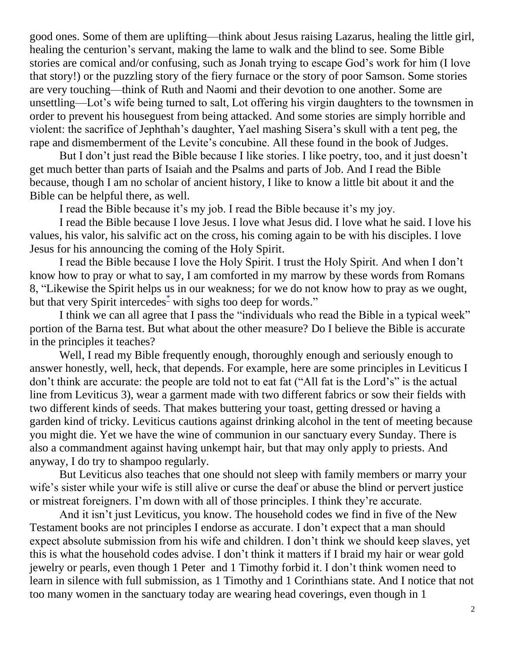good ones. Some of them are uplifting—think about Jesus raising Lazarus, healing the little girl, healing the centurion's servant, making the lame to walk and the blind to see. Some Bible stories are comical and/or confusing, such as Jonah trying to escape God's work for him (I love that story!) or the puzzling story of the fiery furnace or the story of poor Samson. Some stories are very touching—think of Ruth and Naomi and their devotion to one another. Some are unsettling—Lot's wife being turned to salt, Lot offering his virgin daughters to the townsmen in order to prevent his houseguest from being attacked. And some stories are simply horrible and violent: the sacrifice of Jephthah's daughter, Yael mashing Sisera's skull with a tent peg, the rape and dismemberment of the Levite's concubine. All these found in the book of Judges.

But I don't just read the Bible because I like stories. I like poetry, too, and it just doesn't get much better than parts of Isaiah and the Psalms and parts of Job. And I read the Bible because, though I am no scholar of ancient history, I like to know a little bit about it and the Bible can be helpful there, as well.

I read the Bible because it's my job. I read the Bible because it's my joy.

I read the Bible because I love Jesus. I love what Jesus did. I love what he said. I love his values, his valor, his salvific act on the cross, his coming again to be with his disciples. I love Jesus for his announcing the coming of the Holy Spirit.

I read the Bible because I love the Holy Spirit. I trust the Holy Spirit. And when I don't know how to pray or what to say, I am comforted in my marrow by these words from Romans 8, "Likewise the Spirit helps us in our weakness; for we do not know how to pray as we ought, but that very Spirit intercedes<sup>-</sup> with sighs too deep for words."

I think we can all agree that I pass the "individuals who read the Bible in a typical week" portion of the Barna test. But what about the other measure? Do I believe the Bible is accurate in the principles it teaches?

Well, I read my Bible frequently enough, thoroughly enough and seriously enough to answer honestly, well, heck, that depends. For example, here are some principles in Leviticus I don't think are accurate: the people are told not to eat fat ("All fat is the Lord's" is the actual line from Leviticus 3), wear a garment made with two different fabrics or sow their fields with two different kinds of seeds. That makes buttering your toast, getting dressed or having a garden kind of tricky. Leviticus cautions against drinking alcohol in the tent of meeting because you might die. Yet we have the wine of communion in our sanctuary every Sunday. There is also a commandment against having unkempt hair, but that may only apply to priests. And anyway, I do try to shampoo regularly.

But Leviticus also teaches that one should not sleep with family members or marry your wife's sister while your wife is still alive or curse the deaf or abuse the blind or pervert justice or mistreat foreigners. I'm down with all of those principles. I think they're accurate.

And it isn't just Leviticus, you know. The household codes we find in five of the New Testament books are not principles I endorse as accurate. I don't expect that a man should expect absolute submission from his wife and children. I don't think we should keep slaves, yet this is what the household codes advise. I don't think it matters if I braid my hair or wear gold jewelry or pearls, even though 1 Peter and 1 Timothy forbid it. I don't think women need to learn in silence with full submission, as 1 Timothy and 1 Corinthians state. And I notice that not too many women in the sanctuary today are wearing head coverings, even though in 1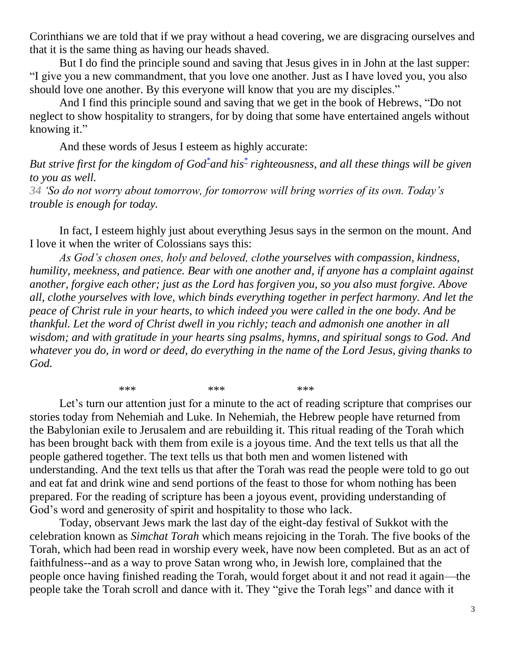Corinthians we are told that if we pray without a head covering, we are disgracing ourselves and that it is the same thing as having our heads shaved.

But I do find the principle sound and saving that Jesus gives in in John at the last supper: "I give you a new commandment, that you love one another. Just as I have loved you, you also should love one another. By this everyone will know that you are my disciples."

And I find this principle sound and saving that we get in the book of Hebrews, "Do not neglect to show hospitality to strangers, for by doing that some have entertained angels without knowing it."

And these words of Jesus I esteem as highly accurate:

But strive first for the kingdom of God<sup>[\\*](javascript:void(0);)</[s](javascript:void(0);)up>and his<sup>\*</sup> righteousness, and all these things will be given *to you as well.*

*34 'So do not worry about tomorrow, for tomorrow will bring worries of its own. Today's trouble is enough for today.*

In fact, I esteem highly just about everything Jesus says in the sermon on the mount. And I love it when the writer of Colossians says this:

*As God's chosen ones, holy and beloved, clothe yourselves with compassion, kindness, humility, meekness, and patience. Bear with one another and, if anyone has a complaint against another, forgive each other; just as the Lord has forgiven you, so you also must forgive. Above all, clothe yourselves with love, which binds everything together in perfect harmony. And let the peace of Christ rule in your hearts, to which indeed you were called in the one body. And be thankful. Let the word of Christ dwell in you richly; teach and admonish one another in all wisdom; and with gratitude in your hearts sing psalms, hymns, and spiritual songs to God. And whatever you do, in word or deed, do everything in the name of the Lord Jesus, giving thanks to God.*

\*\*\* \*\*\* \*\*\* \*\*\*

Let's turn our attention just for a minute to the act of reading scripture that comprises our stories today from Nehemiah and Luke. In Nehemiah, the Hebrew people have returned from the Babylonian exile to Jerusalem and are rebuilding it. This ritual reading of the Torah which has been brought back with them from exile is a joyous time. And the text tells us that all the people gathered together. The text tells us that both men and women listened with understanding. And the text tells us that after the Torah was read the people were told to go out and eat fat and drink wine and send portions of the feast to those for whom nothing has been prepared. For the reading of scripture has been a joyous event, providing understanding of God's word and generosity of spirit and hospitality to those who lack.

Today, observant Jews mark the last day of the eight-day festival of Sukkot with the celebration known as *Simchat Torah* which means rejoicing in the Torah. The five books of the Torah, which had been read in worship every week, have now been completed. But as an act of faithfulness--and as a way to prove Satan wrong who, in Jewish lore, complained that the people once having finished reading the Torah, would forget about it and not read it again—the people take the Torah scroll and dance with it. They "give the Torah legs" and dance with it